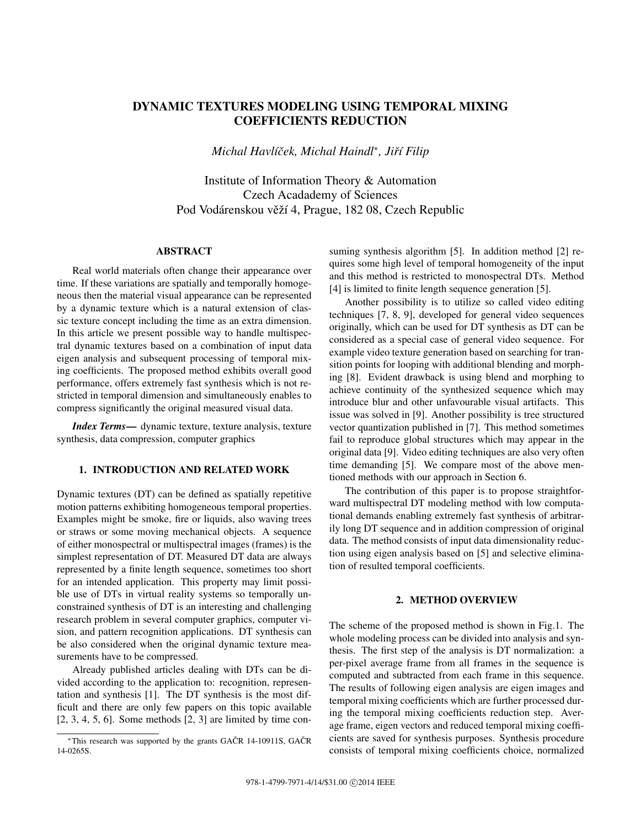# DYNAMIC TEXTURES MODELING USING TEMPORAL MIXING COEFFICIENTS REDUCTION

*Michal Havlíček, Michal Haindl<sup>\*</sup>, Jiří Filip* 

Institute of Information Theory & Automation Czech Acadademy of Sciences Pod Vodárenskou věží 4, Prague, 182 08, Czech Republic

## ABSTRACT

Real world materials often change their appearance over time. If these variations are spatially and temporally homogeneous then the material visual appearance can be represented by a dynamic texture which is a natural extension of classic texture concept including the time as an extra dimension. In this article we present possible way to handle multispectral dynamic textures based on a combination of input data eigen analysis and subsequent processing of temporal mixing coefficients. The proposed method exhibits overall good performance, offers extremely fast synthesis which is not restricted in temporal dimension and simultaneously enables to compress significantly the original measured visual data.

*Index Terms*— dynamic texture, texture analysis, texture synthesis, data compression, computer graphics

## 1. INTRODUCTION AND RELATED WORK

Dynamic textures (DT) can be defined as spatially repetitive motion patterns exhibiting homogeneous temporal properties. Examples might be smoke, fire or liquids, also waving trees or straws or some moving mechanical objects. A sequence of either monospectral or multispectral images (frames) is the simplest representation of DT. Measured DT data are always represented by a finite length sequence, sometimes too short for an intended application. This property may limit possible use of DTs in virtual reality systems so temporally unconstrained synthesis of DT is an interesting and challenging research problem in several computer graphics, computer vision, and pattern recognition applications. DT synthesis can be also considered when the original dynamic texture measurements have to be compressed.

Already published articles dealing with DTs can be divided according to the application to: recognition, representation and synthesis [1]. The DT synthesis is the most difficult and there are only few papers on this topic available  $[2, 3, 4, 5, 6]$ . Some methods  $[2, 3]$  are limited by time consuming synthesis algorithm [5]. In addition method [2] requires some high level of temporal homogeneity of the input and this method is restricted to monospectral DTs. Method [4] is limited to finite length sequence generation [5].

Another possibility is to utilize so called video editing techniques [7, 8, 9], developed for general video sequences originally, which can be used for DT synthesis as DT can be considered as a special case of general video sequence. For example video texture generation based on searching for transition points for looping with additional blending and morphing [8]. Evident drawback is using blend and morphing to achieve continuity of the synthesized sequence which may introduce blur and other unfavourable visual artifacts. This issue was solved in [9]. Another possibility is tree structured vector quantization published in [7]. This method sometimes fail to reproduce global structures which may appear in the original data [9]. Video editing techniques are also very often time demanding [5]. We compare most of the above mentioned methods with our approach in Section 6.

The contribution of this paper is to propose straightforward multispectral DT modeling method with low computational demands enabling extremely fast synthesis of arbitrarily long DT sequence and in addition compression of original data. The method consists of input data dimensionality reduction using eigen analysis based on [5] and selective elimination of resulted temporal coefficients.

## 2. METHOD OVERVIEW

The scheme of the proposed method is shown in Fig.1. The whole modeling process can be divided into analysis and synthesis. The first step of the analysis is DT normalization: a per-pixel average frame from all frames in the sequence is computed and subtracted from each frame in this sequence. The results of following eigen analysis are eigen images and temporal mixing coefficients which are further processed during the temporal mixing coefficients reduction step. Average frame, eigen vectors and reduced temporal mixing coefficients are saved for synthesis purposes. Synthesis procedure consists of temporal mixing coefficients choice, normalized

<sup>\*</sup>This research was supported by the grants GAČR 14-10911S, GAČR 14-0265S.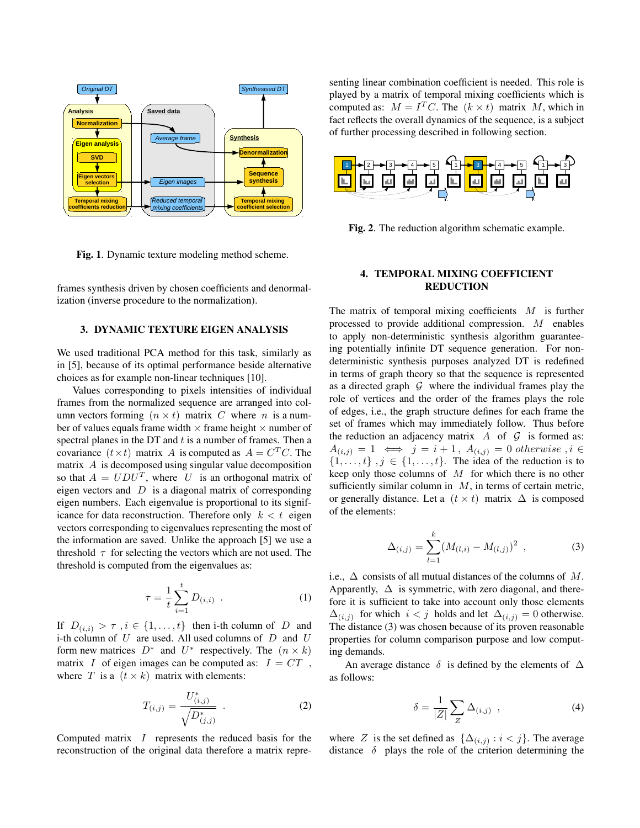

Fig. 1. Dynamic texture modeling method scheme.

frames synthesis driven by chosen coefficients and denormalization (inverse procedure to the normalization).

## 3. DYNAMIC TEXTURE EIGEN ANALYSIS

We used traditional PCA method for this task, similarly as in [5], because of its optimal performance beside alternative choices as for example non-linear techniques [10].

Values corresponding to pixels intensities of individual frames from the normalized sequence are arranged into column vectors forming  $(n \times t)$  matrix C where n is a number of values equals frame width  $\times$  frame height  $\times$  number of spectral planes in the DT and  $t$  is a number of frames. Then a covariance  $(t \times t)$  matrix A is computed as  $A = C<sup>T</sup>C$ . The matrix  $A$  is decomposed using singular value decomposition so that  $A = UDU<sup>T</sup>$ , where U is an orthogonal matrix of eigen vectors and  $D$  is a diagonal matrix of corresponding eigen numbers. Each eigenvalue is proportional to its significance for data reconstruction. Therefore only  $k < t$  eigen vectors corresponding to eigenvalues representing the most of the information are saved. Unlike the approach [5] we use a threshold  $\tau$  for selecting the vectors which are not used. The threshold is computed from the eigenvalues as:

$$
\tau = \frac{1}{t} \sum_{i=1}^{t} D_{(i,i)} \quad . \tag{1}
$$

If  $D(i,i) > \tau$ ,  $i \in \{1, \ldots, t\}$  then i-th column of D and i-th column of  $U$  are used. All used columns of  $D$  and  $U$ form new matrices  $D^*$  and  $U^*$  respectively. The  $(n \times k)$ matrix I of eigen images can be computed as:  $I = CT$ , where T is a  $(t \times k)$  matrix with elements:

$$
T_{(i,j)} = \frac{U^*_{(i,j)}}{\sqrt{D^*_{(j,j)}}} \tag{2}
$$

Computed matrix I represents the reduced basis for the reconstruction of the original data therefore a matrix representing linear combination coefficient is needed. This role is played by a matrix of temporal mixing coefficients which is computed as:  $M = I<sup>T</sup>C$ . The  $(k \times t)$  matrix M, which in fact reflects the overall dynamics of the sequence, is a subject of further processing described in following section.



Fig. 2. The reduction algorithm schematic example.

# 4. TEMPORAL MIXING COEFFICIENT REDUCTION

The matrix of temporal mixing coefficients  $M$  is further processed to provide additional compression. M enables to apply non-deterministic synthesis algorithm guaranteeing potentially infinite DT sequence generation. For nondeterministic synthesis purposes analyzed DT is redefined in terms of graph theory so that the sequence is represented as a directed graph  $G$  where the individual frames play the role of vertices and the order of the frames plays the role of edges, i.e., the graph structure defines for each frame the set of frames which may immediately follow. Thus before the reduction an adjacency matrix  $A$  of  $G$  is formed as:  $A(i,j) = 1 \iff j = i + 1, A(i,j) = 0 \text{ otherwise}, i \in$  $\{1, \ldots, t\}$ ,  $j \in \{1, \ldots, t\}$ . The idea of the reduction is to keep only those columns of  $M$  for which there is no other sufficiently similar column in  $M$ , in terms of certain metric, or generally distance. Let a  $(t \times t)$  matrix  $\Delta$  is composed of the elements:

$$
\Delta_{(i,j)} = \sum_{l=1}^{k} (M_{(l,i)} - M_{(l,j)})^2 , \qquad (3)
$$

i.e.,  $\Delta$  consists of all mutual distances of the columns of M. Apparently,  $\Delta$  is symmetric, with zero diagonal, and therefore it is sufficient to take into account only those elements  $\Delta_{(i,j)}$  for which  $i < j$  holds and let  $\Delta_{(i,j)} = 0$  otherwise. The distance (3) was chosen because of its proven reasonable properties for column comparison purpose and low computing demands.

An average distance  $\delta$  is defined by the elements of  $\Delta$ as follows:

$$
\delta = \frac{1}{|Z|} \sum_{Z} \Delta_{(i,j)} \quad , \tag{4}
$$

where Z is the set defined as  $\{\Delta_{(i,j)} : i < j\}$ . The average distance  $\delta$  plays the role of the criterion determining the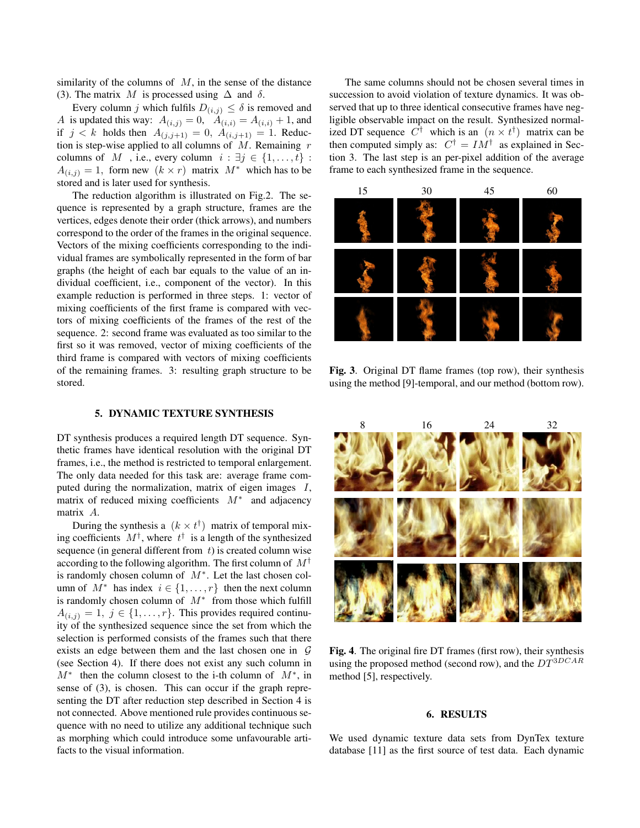similarity of the columns of  $M$ , in the sense of the distance (3). The matrix M is processed using  $\Delta$  and  $\delta$ .

Every column j which fulfils  $D_{(i,j)} \leq \delta$  is removed and A is updated this way:  $A_{(i,j)} = 0$ ,  $A_{(i,i)} = A_{(i,i)} + 1$ , and if  $j < k$  holds then  $A_{(j, j+1)} = 0$ ,  $A_{(i, j+1)} = 1$ . Reduction is step-wise applied to all columns of  $M$ . Remaining r columns of M, i.e., every column  $i : \exists j \in \{1, ..., t\}$ :  $A(i,j) = 1$ , form new  $(k \times r)$  matrix  $M^*$  which has to be stored and is later used for synthesis.

The reduction algorithm is illustrated on Fig.2. The sequence is represented by a graph structure, frames are the vertices, edges denote their order (thick arrows), and numbers correspond to the order of the frames in the original sequence. Vectors of the mixing coefficients corresponding to the individual frames are symbolically represented in the form of bar graphs (the height of each bar equals to the value of an individual coefficient, i.e., component of the vector). In this example reduction is performed in three steps. 1: vector of mixing coefficients of the first frame is compared with vectors of mixing coefficients of the frames of the rest of the sequence. 2: second frame was evaluated as too similar to the first so it was removed, vector of mixing coefficients of the third frame is compared with vectors of mixing coefficients of the remaining frames. 3: resulting graph structure to be stored.

## 5. DYNAMIC TEXTURE SYNTHESIS

DT synthesis produces a required length DT sequence. Synthetic frames have identical resolution with the original DT frames, i.e., the method is restricted to temporal enlargement. The only data needed for this task are: average frame computed during the normalization, matrix of eigen images I, matrix of reduced mixing coefficients  $M^*$  and adjacency matrix A.

During the synthesis a  $(k \times t^{\dagger})$  matrix of temporal mixing coefficients  $M^{\dagger}$ , where  $t^{\dagger}$  is a length of the synthesized sequence (in general different from  $t$ ) is created column wise according to the following algorithm. The first column of  $M^{\dagger}$ is randomly chosen column of  $M^*$ . Let the last chosen column of  $M^*$  has index  $i \in \{1, \ldots, r\}$  then the next column is randomly chosen column of  $M^*$  from those which fulfill  $A(i,j) = 1, j \in \{1, \ldots, r\}$ . This provides required continuity of the synthesized sequence since the set from which the selection is performed consists of the frames such that there exists an edge between them and the last chosen one in  $G$ (see Section 4). If there does not exist any such column in  $M^*$  then the column closest to the i-th column of  $M^*$ , in sense of (3), is chosen. This can occur if the graph representing the DT after reduction step described in Section 4 is not connected. Above mentioned rule provides continuous sequence with no need to utilize any additional technique such as morphing which could introduce some unfavourable artifacts to the visual information.

The same columns should not be chosen several times in succession to avoid violation of texture dynamics. It was observed that up to three identical consecutive frames have negligible observable impact on the result. Synthesized normalized DT sequence  $C^{\dagger}$  which is an  $(n \times t^{\dagger})$  matrix can be then computed simply as:  $C^{\dagger} = IM^{\dagger}$  as explained in Section 3. The last step is an per-pixel addition of the average frame to each synthesized frame in the sequence.



Fig. 3. Original DT flame frames (top row), their synthesis using the method [9]-temporal, and our method (bottom row).



Fig. 4. The original fire DT frames (first row), their synthesis using the proposed method (second row), and the  $DT^{3DCAR}$ method [5], respectively.

#### 6. RESULTS

We used dynamic texture data sets from DynTex texture database [11] as the first source of test data. Each dynamic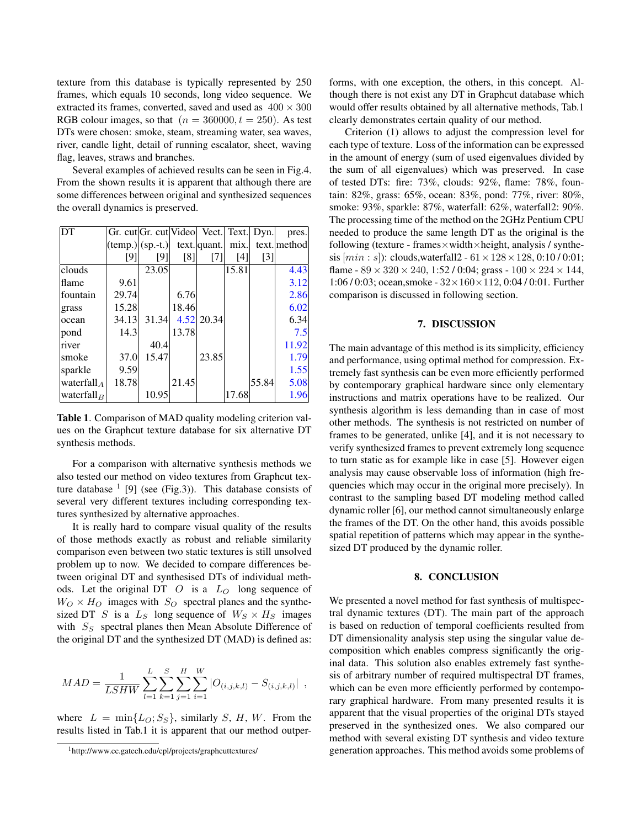texture from this database is typically represented by 250 frames, which equals 10 seconds, long video sequence. We extracted its frames, converted, saved and used as  $400 \times 300$ RGB colour images, so that  $(n = 360000, t = 250)$ . As test DTs were chosen: smoke, steam, streaming water, sea waves, river, candle light, detail of running escalator, sheet, waving flag, leaves, straws and branches.

Several examples of achieved results can be seen in Fig.4. From the shown results it is apparent that although there are some differences between original and synthesized sequences the overall dynamics is preserved.

| DT                             |                                                        | Gr. cut Gr. cut Video  Vect.  Text.  Dyn. |       |              |       |                   | pres.        |
|--------------------------------|--------------------------------------------------------|-------------------------------------------|-------|--------------|-------|-------------------|--------------|
|                                | $ \text{temp.} \text{sp.-t.}\rangle$ text. quant. mix. |                                           |       |              |       |                   | text. method |
|                                | [9]                                                    | [9]                                       | [8]   | $[7]$        | [4]   | $\lceil 3 \rceil$ |              |
| clouds                         |                                                        | 23.05                                     |       |              | 15.81 |                   | 4.43         |
| flame                          | 9.61                                                   |                                           |       |              |       |                   | 3.12         |
| lfountain                      | 29.74                                                  |                                           | 6.76  |              |       |                   | 2.86         |
| grass                          | 15.28                                                  |                                           | 18.46 |              |       |                   | 6.02         |
| locean                         | 34.13                                                  | 31.34                                     |       | $4.52$ 20.34 |       |                   | 6.34         |
| pond                           | 14.3                                                   |                                           | 13.78 |              |       |                   | 7.5          |
| river                          |                                                        | 40.4                                      |       |              |       |                   | 11.92        |
| <b>smoke</b>                   | 37.0                                                   | 15.47                                     |       | 23.85        |       |                   | 1.79         |
| sparkle                        | 9.59                                                   |                                           |       |              |       |                   | 1.55         |
| $ {\rm waterfall}_{A} $        | 18.78                                                  |                                           | 21.45 |              |       | 55.84             | 5.08         |
| $\vert$ waterfall <sub>R</sub> |                                                        | 10.95                                     |       |              | 17.68 |                   | 1.96         |

Table 1. Comparison of MAD quality modeling criterion values on the Graphcut texture database for six alternative DT synthesis methods.

For a comparison with alternative synthesis methods we also tested our method on video textures from Graphcut texture database  $<sup>1</sup>$  [9] (see (Fig.3)). This database consists of</sup> several very different textures including corresponding textures synthesized by alternative approaches.

It is really hard to compare visual quality of the results of those methods exactly as robust and reliable similarity comparison even between two static textures is still unsolved problem up to now. We decided to compare differences between original DT and synthesised DTs of individual methods. Let the original DT  $\overline{O}$  is a  $L_{\overline{O}}$  long sequence of  $W_O \times H_O$  images with  $S_O$  spectral planes and the synthesized DT S is a  $L_S$  long sequence of  $W_S \times H_S$  images with  $S_S$  spectral planes then Mean Absolute Difference of the original DT and the synthesized DT (MAD) is defined as:

$$
MAD = \frac{1}{LSHW} \sum_{l=1}^{L} \sum_{k=1}^{S} \sum_{j=1}^{H} \sum_{i=1}^{W} |O_{(i,j,k,l)} - S_{(i,j,k,l)}|,
$$

where  $L = \min\{L_O; S_S\}$ , similarly S, H, W. From the results listed in Tab.1 it is apparent that our method outperforms, with one exception, the others, in this concept. Although there is not exist any DT in Graphcut database which would offer results obtained by all alternative methods, Tab.1 clearly demonstrates certain quality of our method.

Criterion (1) allows to adjust the compression level for each type of texture. Loss of the information can be expressed in the amount of energy (sum of used eigenvalues divided by the sum of all eigenvalues) which was preserved. In case of tested DTs: fire: 73%, clouds: 92%, flame: 78%, fountain: 82%, grass: 65%, ocean: 83%, pond: 77%, river: 80%, smoke: 93%, sparkle: 87%, waterfall: 62%, waterfall2: 90%. The processing time of the method on the 2GHz Pentium CPU needed to produce the same length DT as the original is the following (texture - frames $\times$ width $\times$ height, analysis / synthesis  $[min : s]$ : clouds,waterfall2 -  $61 \times 128 \times 128$ , 0:10 / 0:01; flame -  $89 \times 320 \times 240$ , 1:52 / 0:04; grass -  $100 \times 224 \times 144$ , 1:06 / 0:03; ocean,smoke - 32×160×112, 0:04 / 0:01. Further comparison is discussed in following section.

### 7. DISCUSSION

The main advantage of this method is its simplicity, efficiency and performance, using optimal method for compression. Extremely fast synthesis can be even more efficiently performed by contemporary graphical hardware since only elementary instructions and matrix operations have to be realized. Our synthesis algorithm is less demanding than in case of most other methods. The synthesis is not restricted on number of frames to be generated, unlike [4], and it is not necessary to verify synthesized frames to prevent extremely long sequence to turn static as for example like in case [5]. However eigen analysis may cause observable loss of information (high frequencies which may occur in the original more precisely). In contrast to the sampling based DT modeling method called dynamic roller [6], our method cannot simultaneously enlarge the frames of the DT. On the other hand, this avoids possible spatial repetition of patterns which may appear in the synthesized DT produced by the dynamic roller.

#### 8. CONCLUSION

We presented a novel method for fast synthesis of multispectral dynamic textures (DT). The main part of the approach is based on reduction of temporal coefficients resulted from DT dimensionality analysis step using the singular value decomposition which enables compress significantly the original data. This solution also enables extremely fast synthesis of arbitrary number of required multispectral DT frames, which can be even more efficiently performed by contemporary graphical hardware. From many presented results it is apparent that the visual properties of the original DTs stayed preserved in the synthesized ones. We also compared our method with several existing DT synthesis and video texture generation approaches. This method avoids some problems of

<sup>1</sup>http://www.cc.gatech.edu/cpl/projects/graphcuttextures/